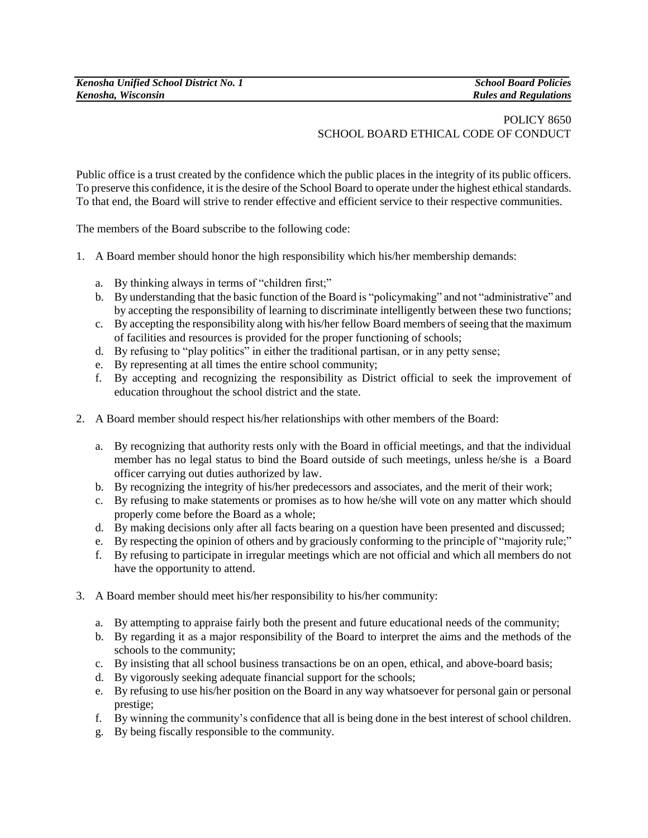## POLICY 8650 SCHOOL BOARD ETHICAL CODE OF CONDUCT

Public office is a trust created by the confidence which the public places in the integrity of its public officers. To preserve this confidence, it is the desire of the School Board to operate under the highest ethical standards. To that end, the Board will strive to render effective and efficient service to their respective communities.

The members of the Board subscribe to the following code:

- 1. A Board member should honor the high responsibility which his/her membership demands:
	- a. By thinking always in terms of "children first;"
	- b. By understanding that the basic function of the Board is "policymaking" and not "administrative" and by accepting the responsibility of learning to discriminate intelligently between these two functions;
	- c. By accepting the responsibility along with his/her fellow Board members of seeing that the maximum of facilities and resources is provided for the proper functioning of schools;
	- d. By refusing to "play politics" in either the traditional partisan, or in any petty sense;
	- e. By representing at all times the entire school community;
	- f. By accepting and recognizing the responsibility as District official to seek the improvement of education throughout the school district and the state.
- 2. A Board member should respect his/her relationships with other members of the Board:
	- a. By recognizing that authority rests only with the Board in official meetings, and that the individual member has no legal status to bind the Board outside of such meetings, unless he/she is a Board officer carrying out duties authorized by law.
	- b. By recognizing the integrity of his/her predecessors and associates, and the merit of their work;
	- c. By refusing to make statements or promises as to how he/she will vote on any matter which should properly come before the Board as a whole;
	- d. By making decisions only after all facts bearing on a question have been presented and discussed;
	- e. By respecting the opinion of others and by graciously conforming to the principle of "majority rule;"
	- f. By refusing to participate in irregular meetings which are not official and which all members do not have the opportunity to attend.
- 3. A Board member should meet his/her responsibility to his/her community:
	- a. By attempting to appraise fairly both the present and future educational needs of the community;
	- b. By regarding it as a major responsibility of the Board to interpret the aims and the methods of the schools to the community;
	- c. By insisting that all school business transactions be on an open, ethical, and above-board basis;
	- d. By vigorously seeking adequate financial support for the schools;
	- e. By refusing to use his/her position on the Board in any way whatsoever for personal gain or personal prestige;
	- f. By winning the community's confidence that all is being done in the best interest of school children.
	- g. By being fiscally responsible to the community.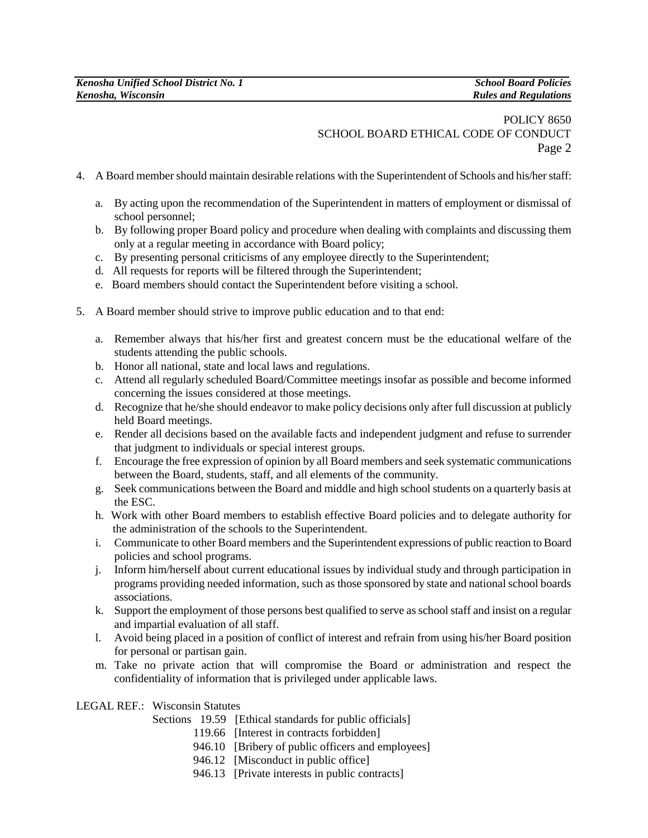## POLICY 8650 SCHOOL BOARD ETHICAL CODE OF CONDUCT Page 2

- 4. A Board member should maintain desirable relations with the Superintendent of Schools and his/her staff:
	- a. By acting upon the recommendation of the Superintendent in matters of employment or dismissal of school personnel;
	- b. By following proper Board policy and procedure when dealing with complaints and discussing them only at a regular meeting in accordance with Board policy;
	- c. By presenting personal criticisms of any employee directly to the Superintendent;
	- d. All requests for reports will be filtered through the Superintendent;
	- e. Board members should contact the Superintendent before visiting a school.
- 5. A Board member should strive to improve public education and to that end:
	- a. Remember always that his/her first and greatest concern must be the educational welfare of the students attending the public schools.
	- b. Honor all national, state and local laws and regulations.
	- c. Attend all regularly scheduled Board/Committee meetings insofar as possible and become informed concerning the issues considered at those meetings.
	- d. Recognize that he/she should endeavor to make policy decisions only after full discussion at publicly held Board meetings.
	- e. Render all decisions based on the available facts and independent judgment and refuse to surrender that judgment to individuals or special interest groups.
	- f. Encourage the free expression of opinion by all Board members and seek systematic communications between the Board, students, staff, and all elements of the community.
	- g. Seek communications between the Board and middle and high school students on a quarterly basis at the ESC.
	- h. Work with other Board members to establish effective Board policies and to delegate authority for the administration of the schools to the Superintendent.
	- i. Communicate to other Board members and the Superintendent expressions of public reaction to Board policies and school programs.
	- j. Inform him/herself about current educational issues by individual study and through participation in programs providing needed information, such as those sponsored by state and national school boards associations.
	- k. Support the employment of those persons best qualified to serve as school staff and insist on a regular and impartial evaluation of all staff.
	- l. Avoid being placed in a position of conflict of interest and refrain from using his/her Board position for personal or partisan gain.
	- m. Take no private action that will compromise the Board or administration and respect the confidentiality of information that is privileged under applicable laws.

## LEGAL REF.: Wisconsin Statutes

- Sections 19.59 [Ethical standards for public officials]
	- 119.66 [Interest in contracts forbidden]
	- 946.10 [Bribery of public officers and employees]
	- 946.12 [Misconduct in public office]
	- 946.13 [Private interests in public contracts]